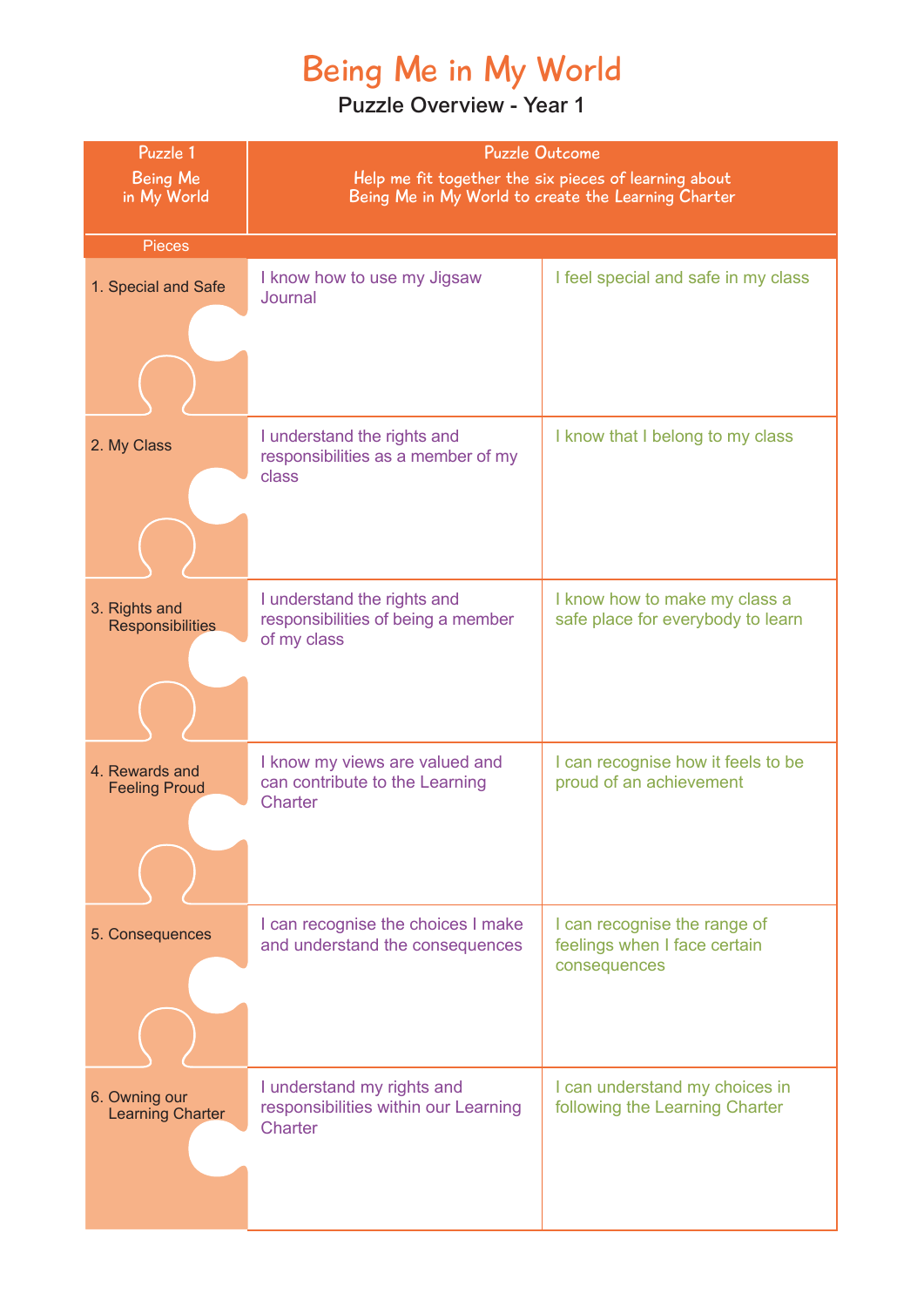## Being Me in My World

| Puzzle 1<br><b>Being Me</b><br>in My World | <b>Puzzle Outcome</b><br>Help me fit together the six pieces of learning about<br>Being Me in My World to create the Learning Charter |                                                                              |
|--------------------------------------------|---------------------------------------------------------------------------------------------------------------------------------------|------------------------------------------------------------------------------|
| <b>Pieces</b>                              |                                                                                                                                       |                                                                              |
| 1. Special and Safe                        | I know how to use my Jigsaw<br>Journal                                                                                                | I feel special and safe in my class                                          |
| 2. My Class                                | I understand the rights and<br>responsibilities as a member of my<br>class                                                            | I know that I belong to my class                                             |
| 3. Rights and<br><b>Responsibilities</b>   | I understand the rights and<br>responsibilities of being a member<br>of my class                                                      | I know how to make my class a<br>safe place for everybody to learn           |
| 4. Rewards and<br><b>Feeling Proud</b>     | I know my views are valued and<br>can contribute to the Learning<br><b>Charter</b>                                                    | I can recognise how it feels to be<br>proud of an achievement                |
| 5. Consequences                            | I can recognise the choices I make<br>and understand the consequences                                                                 | I can recognise the range of<br>feelings when I face certain<br>consequences |
| 6. Owning our<br><b>Learning Charter</b>   | I understand my rights and<br>responsibilities within our Learning<br>Charter                                                         | I can understand my choices in<br>following the Learning Charter             |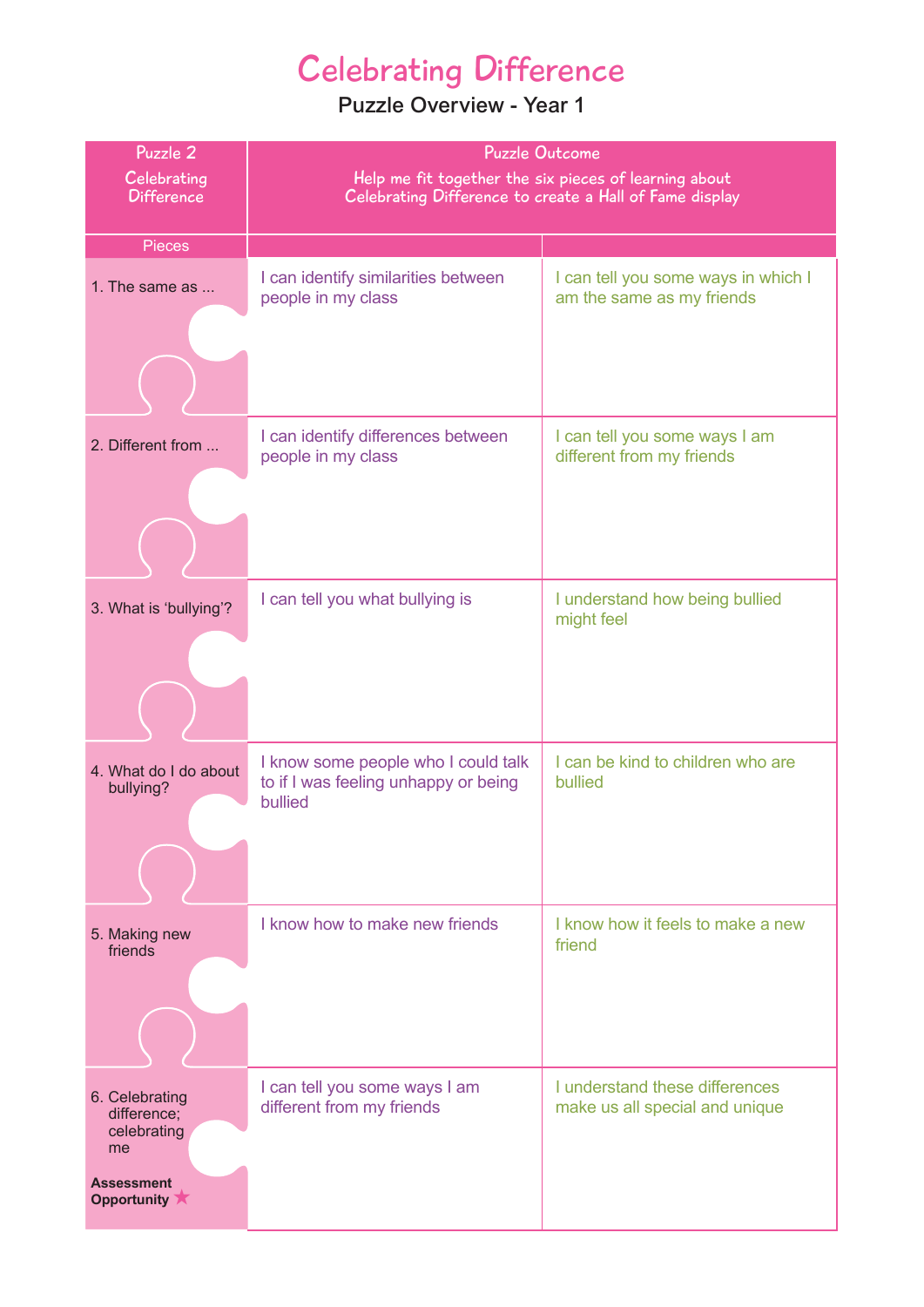### Celebrating Difference

| Puzzle 2                   | <b>Puzzle Outcome</b>                                      |                                                                  |
|----------------------------|------------------------------------------------------------|------------------------------------------------------------------|
| Celebrating                | Help me fit together the six pieces of learning about      |                                                                  |
| <b>Difference</b>          | Celebrating Difference to create a Hall of Fame display    |                                                                  |
| <b>Pieces</b>              |                                                            |                                                                  |
|                            |                                                            |                                                                  |
| 1. The same as             | I can identify similarities between<br>people in my class  | I can tell you some ways in which I<br>am the same as my friends |
|                            |                                                            |                                                                  |
|                            |                                                            |                                                                  |
|                            |                                                            |                                                                  |
|                            |                                                            |                                                                  |
| 2. Different from          | I can identify differences between                         | I can tell you some ways I am                                    |
|                            | people in my class                                         | different from my friends                                        |
|                            |                                                            |                                                                  |
|                            |                                                            |                                                                  |
|                            |                                                            |                                                                  |
|                            | I can tell you what bullying is                            | I understand how being bullied                                   |
| 3. What is 'bullying'?     |                                                            | might feel                                                       |
|                            |                                                            |                                                                  |
|                            |                                                            |                                                                  |
|                            |                                                            |                                                                  |
|                            |                                                            |                                                                  |
| 4. What do I do about      | I know some people who I could talk                        | I can be kind to children who are                                |
| bullying?                  | to if I was feeling unhappy or being<br>bullied            | bullied                                                          |
|                            |                                                            |                                                                  |
|                            |                                                            |                                                                  |
|                            |                                                            |                                                                  |
|                            | I know how to make new friends                             | I know how it feels to make a new                                |
| 5. Making new<br>friends   |                                                            | friend                                                           |
|                            |                                                            |                                                                  |
|                            |                                                            |                                                                  |
|                            |                                                            |                                                                  |
|                            |                                                            |                                                                  |
| 6. Celebrating             | I can tell you some ways I am<br>different from my friends | I understand these differences<br>make us all special and unique |
| difference;<br>celebrating |                                                            |                                                                  |
| me                         |                                                            |                                                                  |
| <b>Assessment</b>          |                                                            |                                                                  |
| Opportunity                |                                                            |                                                                  |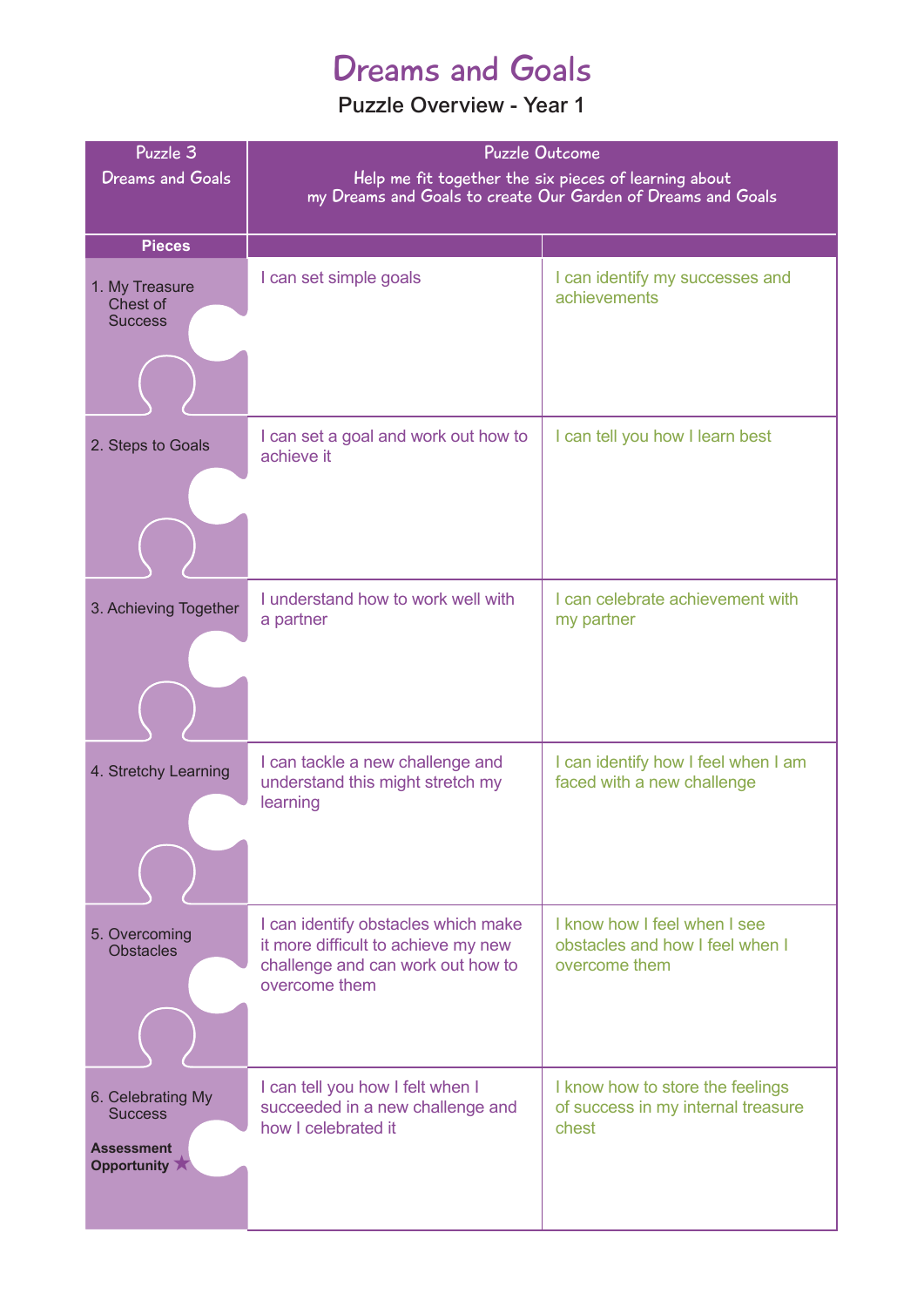### Dreams and Goals

| Puzzle 3<br><b>Dreams and Goals</b>                                       | <b>Puzzle Outcome</b><br>Help me fit together the six pieces of learning about                                                   |                                                                                  |
|---------------------------------------------------------------------------|----------------------------------------------------------------------------------------------------------------------------------|----------------------------------------------------------------------------------|
|                                                                           | my Dreams and Goals to create Our Garden of Dreams and Goals                                                                     |                                                                                  |
| <b>Pieces</b>                                                             |                                                                                                                                  |                                                                                  |
| 1. My Treasure<br>Chest of<br><b>Success</b>                              | I can set simple goals                                                                                                           | I can identify my successes and<br>achievements                                  |
|                                                                           |                                                                                                                                  |                                                                                  |
| 2. Steps to Goals                                                         | I can set a goal and work out how to<br>achieve it                                                                               | I can tell you how I learn best                                                  |
|                                                                           |                                                                                                                                  |                                                                                  |
| 3. Achieving Together                                                     | I understand how to work well with<br>a partner                                                                                  | I can celebrate achievement with<br>my partner                                   |
|                                                                           |                                                                                                                                  |                                                                                  |
| 4. Stretchy Learning                                                      | I can tackle a new challenge and<br>understand this might stretch my<br>learning                                                 | I can identify how I feel when I am<br>faced with a new challenge                |
|                                                                           |                                                                                                                                  |                                                                                  |
| 5. Overcoming<br><b>Obstacles</b>                                         | I can identify obstacles which make<br>it more difficult to achieve my new<br>challenge and can work out how to<br>overcome them | I know how I feel when I see<br>obstacles and how I feel when I<br>overcome them |
|                                                                           |                                                                                                                                  |                                                                                  |
| 6. Celebrating My<br><b>Success</b><br><b>Assessment</b><br>Opportunity X | I can tell you how I felt when I<br>succeeded in a new challenge and<br>how I celebrated it                                      | I know how to store the feelings<br>of success in my internal treasure<br>chest  |
|                                                                           |                                                                                                                                  |                                                                                  |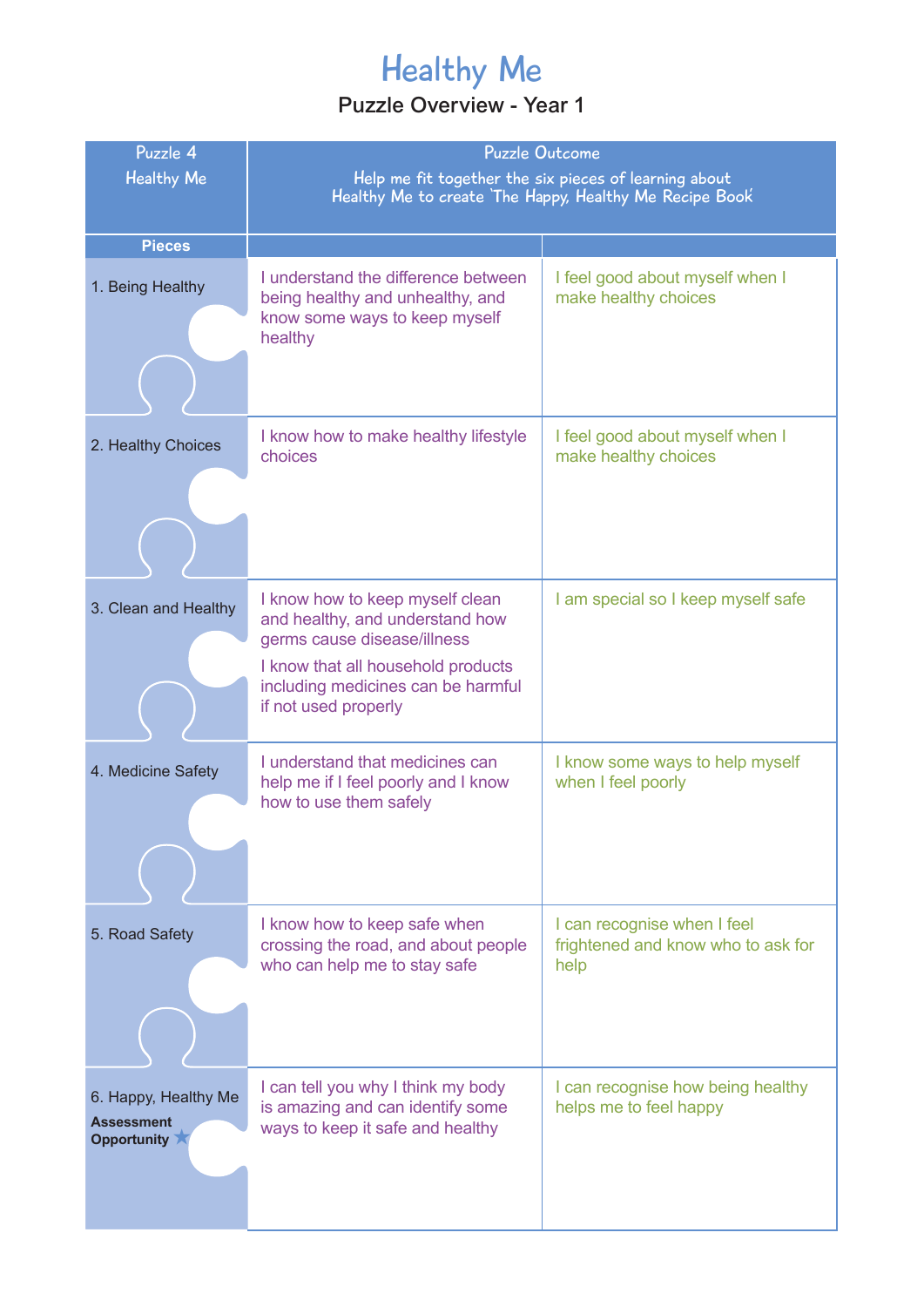# Healthy Me

| Puzzle 4<br><b>Healthy Me</b>                            | <b>Puzzle Outcome</b><br>Help me fit together the six pieces of learning about<br>Healthy Me to create The Happy, Healthy Me Recipe Book                                                              |                                                                           |
|----------------------------------------------------------|-------------------------------------------------------------------------------------------------------------------------------------------------------------------------------------------------------|---------------------------------------------------------------------------|
|                                                          |                                                                                                                                                                                                       |                                                                           |
| <b>Pieces</b>                                            |                                                                                                                                                                                                       |                                                                           |
| 1. Being Healthy                                         | I understand the difference between<br>being healthy and unhealthy, and<br>know some ways to keep myself<br>healthy                                                                                   | I feel good about myself when I<br>make healthy choices                   |
|                                                          |                                                                                                                                                                                                       |                                                                           |
| 2. Healthy Choices                                       | I know how to make healthy lifestyle<br>choices                                                                                                                                                       | I feel good about myself when I<br>make healthy choices                   |
| 3. Clean and Healthy                                     | I know how to keep myself clean<br>and healthy, and understand how<br>germs cause disease/illness<br>I know that all household products<br>including medicines can be harmful<br>if not used properly | I am special so I keep myself safe                                        |
| 4. Medicine Safety                                       | I understand that medicines can<br>help me if I feel poorly and I know<br>how to use them safely                                                                                                      | I know some ways to help myself<br>when I feel poorly                     |
| 5. Road Safety                                           | I know how to keep safe when<br>crossing the road, and about people<br>who can help me to stay safe                                                                                                   | I can recognise when I feel<br>frightened and know who to ask for<br>help |
| 6. Happy, Healthy Me<br><b>Assessment</b><br>Opportunity | I can tell you why I think my body<br>is amazing and can identify some<br>ways to keep it safe and healthy                                                                                            | I can recognise how being healthy<br>helps me to feel happy               |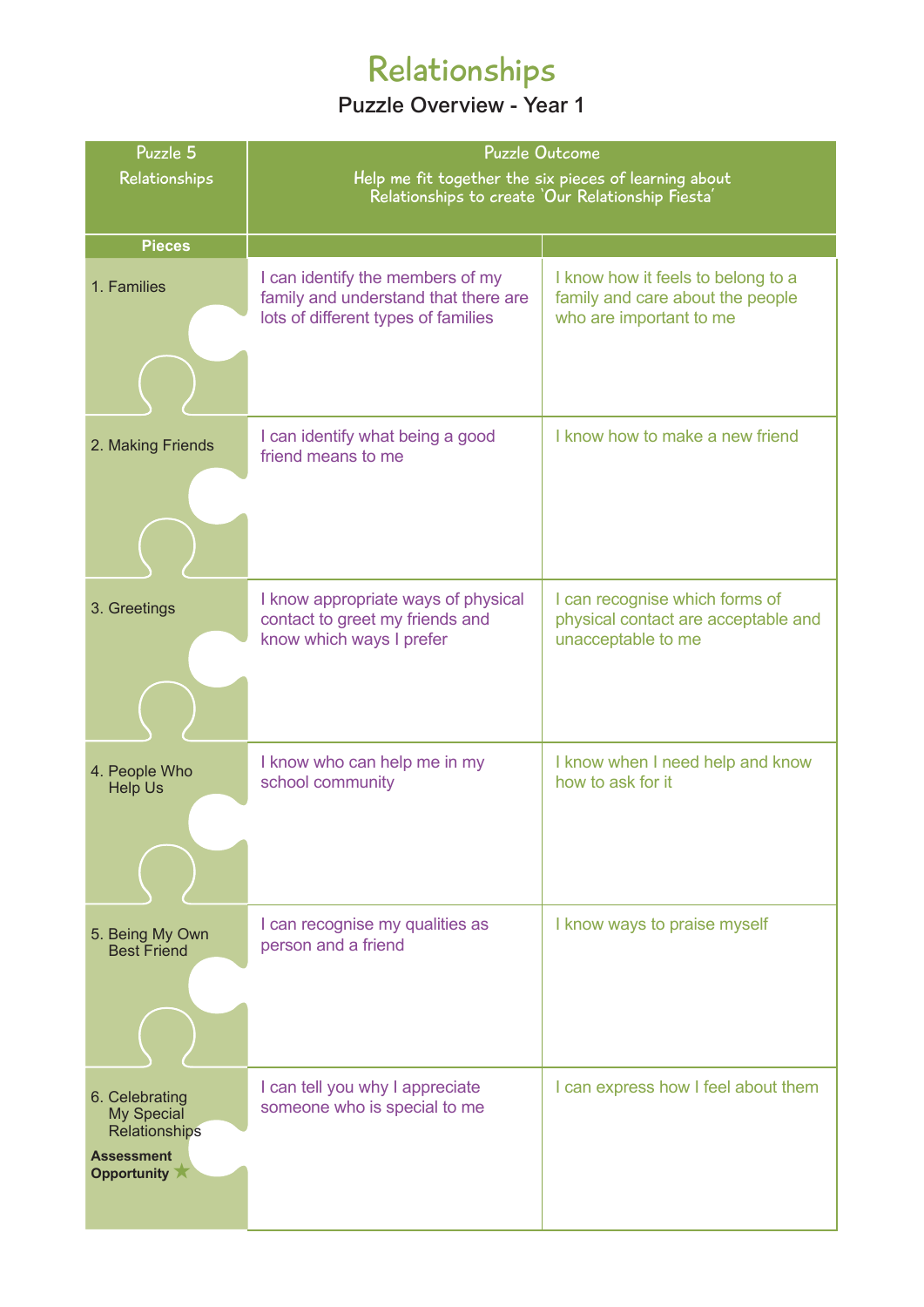# Relationships

| Puzzle 5                                                                                 | <b>Puzzle Outcome</b>                                                                                           |                                                                                                   |
|------------------------------------------------------------------------------------------|-----------------------------------------------------------------------------------------------------------------|---------------------------------------------------------------------------------------------------|
| Relationships                                                                            | Help me fit together the six pieces of learning about                                                           |                                                                                                   |
|                                                                                          |                                                                                                                 | Relationships to create 'Our Relationship Fiesta'                                                 |
| <b>Pieces</b>                                                                            |                                                                                                                 |                                                                                                   |
| 1. Families                                                                              | I can identify the members of my<br>family and understand that there are<br>lots of different types of families | I know how it feels to belong to a<br>family and care about the people<br>who are important to me |
|                                                                                          |                                                                                                                 |                                                                                                   |
| 2. Making Friends                                                                        | I can identify what being a good<br>friend means to me                                                          | I know how to make a new friend                                                                   |
|                                                                                          |                                                                                                                 |                                                                                                   |
| 3. Greetings                                                                             | I know appropriate ways of physical<br>contact to greet my friends and<br>know which ways I prefer              | I can recognise which forms of<br>physical contact are acceptable and<br>unacceptable to me       |
| 4. People Who<br><b>Help Us</b>                                                          | I know who can help me in my<br>school community                                                                | I know when I need help and know<br>how to ask for it                                             |
| 5. Being My Own<br><b>Best Friend</b>                                                    | I can recognise my qualities as<br>person and a friend                                                          | I know ways to praise myself                                                                      |
| 6. Celebrating<br><b>My Special</b><br>Relationships<br><b>Assessment</b><br>Opportunity | I can tell you why I appreciate<br>someone who is special to me                                                 | I can express how I feel about them                                                               |